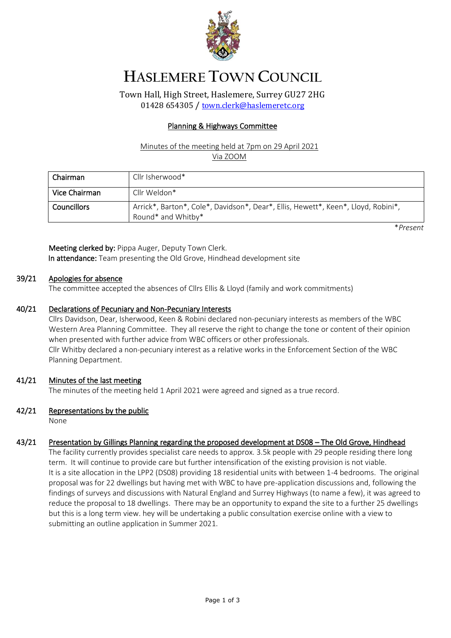

# **HASLEMERE TOWN COUNCIL**

Town Hall, High Street, Haslemere, Surrey GU27 2HG 01428 654305 / [town.clerk@haslemeretc.org](mailto:town.clerk@haslemeretc.org)

# Planning & Highways Committee

## Minutes of the meeting held at 7pm on 29 April 2021 Via ZOOM

| Chairman           | Cllr Isherwood*                                                                                         |
|--------------------|---------------------------------------------------------------------------------------------------------|
| Vice Chairman      | Cllr Weldon*                                                                                            |
| <b>Councillors</b> | Arrick*, Barton*, Cole*, Davidson*, Dear*, Ellis, Hewett*, Keen*, Lloyd, Robini*,<br>Round* and Whitby* |

\**Present*

Meeting clerked by: Pippa Auger, Deputy Town Clerk. In attendance: Team presenting the Old Grove, Hindhead development site

#### 39/21 Apologies for absence

The committee accepted the absences of Cllrs Ellis & Lloyd (family and work commitments)

#### 40/21 Declarations of Pecuniary and Non-Pecuniary Interests

Cllrs Davidson, Dear, Isherwood, Keen & Robini declared non-pecuniary interests as members of the WBC Western Area Planning Committee. They all reserve the right to change the tone or content of their opinion when presented with further advice from WBC officers or other professionals. Cllr Whitby declared a non-pecuniary interest as a relative works in the Enforcement Section of the WBC Planning Department.

#### 41/21 Minutes of the last meeting

The minutes of the meeting held 1 April 2021 were agreed and signed as a true record.

#### 42/21 Representations by the public

None

# 43/21 Presentation by Gillings Planning regarding the proposed development at DS08 – The Old Grove, Hindhead

The facility currently provides specialist care needs to approx. 3.5k people with 29 people residing there long term. It will continue to provide care but further intensification of the existing provision is not viable. It is a site allocation in the LPP2 (DS08) providing 18 residential units with between 1-4 bedrooms. The original proposal was for 22 dwellings but having met with WBC to have pre-application discussions and, following the findings of surveys and discussions with Natural England and Surrey Highways (to name a few), it was agreed to reduce the proposal to 18 dwellings. There may be an opportunity to expand the site to a further 25 dwellings but this is a long term view. hey will be undertaking a public consultation exercise online with a view to submitting an outline application in Summer 2021.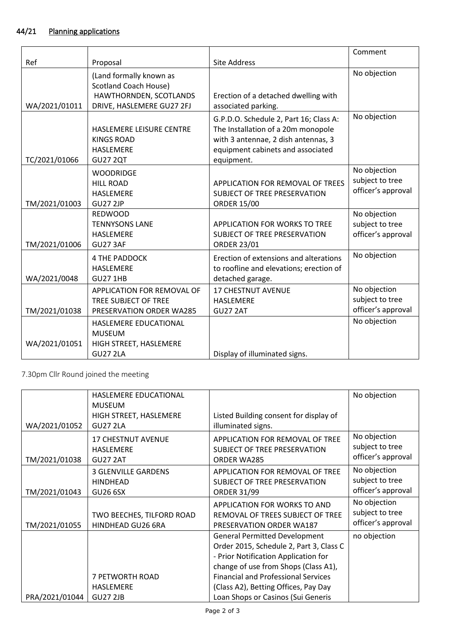|               |                                                                                                                |                                                                                                                                                                        | Comment                                               |
|---------------|----------------------------------------------------------------------------------------------------------------|------------------------------------------------------------------------------------------------------------------------------------------------------------------------|-------------------------------------------------------|
| Ref           | Proposal                                                                                                       | <b>Site Address</b>                                                                                                                                                    |                                                       |
| WA/2021/01011 | (Land formally known as<br><b>Scotland Coach House)</b><br>HAWTHORNDEN, SCOTLANDS<br>DRIVE, HASLEMERE GU27 2FJ | Erection of a detached dwelling with<br>associated parking.                                                                                                            | No objection                                          |
| TC/2021/01066 | HASLEMERE LEISURE CENTRE<br><b>KINGS ROAD</b><br>HASLEMERE<br><b>GU27 2QT</b>                                  | G.P.D.O. Schedule 2, Part 16; Class A:<br>The Installation of a 20m monopole<br>with 3 antennae, 2 dish antennas, 3<br>equipment cabinets and associated<br>equipment. | No objection                                          |
| TM/2021/01003 | <b>WOODRIDGE</b><br><b>HILL ROAD</b><br><b>HASLEMERE</b><br><b>GU27 2JP</b>                                    | APPLICATION FOR REMOVAL OF TREES<br>SUBJECT OF TREE PRESERVATION<br><b>ORDER 15/00</b>                                                                                 | No objection<br>subject to tree<br>officer's approval |
| TM/2021/01006 | <b>REDWOOD</b><br><b>TENNYSONS LANE</b><br><b>HASLEMERE</b><br><b>GU27 3AF</b>                                 | <b>APPLICATION FOR WORKS TO TREE</b><br>SUBJECT OF TREE PRESERVATION<br><b>ORDER 23/01</b>                                                                             | No objection<br>subject to tree<br>officer's approval |
| WA/2021/0048  | <b>4 THE PADDOCK</b><br><b>HASLEMERE</b><br><b>GU27 1HB</b>                                                    | Erection of extensions and alterations<br>to roofline and elevations; erection of<br>detached garage.                                                                  | No objection                                          |
| TM/2021/01038 | APPLICATION FOR REMOVAL OF<br>TREE SUBJECT OF TREE<br>PRESERVATION ORDER WA285                                 | <b>17 CHESTNUT AVENUE</b><br><b>HASLEMERE</b><br><b>GU27 2AT</b>                                                                                                       | No objection<br>subject to tree<br>officer's approval |
| WA/2021/01051 | HASLEMERE EDUCATIONAL<br><b>MUSEUM</b><br>HIGH STREET, HASLEMERE<br><b>GU27 2LA</b>                            | Display of illuminated signs.                                                                                                                                          | No objection                                          |

7.30pm Cllr Round joined the meeting

|                | HASLEMERE EDUCATIONAL<br><b>MUSEUM</b>                           |                                                                                                                                                                 | No objection                                          |
|----------------|------------------------------------------------------------------|-----------------------------------------------------------------------------------------------------------------------------------------------------------------|-------------------------------------------------------|
| WA/2021/01052  | HIGH STREET, HASLEMERE<br><b>GU27 2LA</b>                        | Listed Building consent for display of<br>illuminated signs.                                                                                                    |                                                       |
| TM/2021/01038  | <b>17 CHESTNUT AVENUE</b><br><b>HASLEMERE</b><br><b>GU27 2AT</b> | APPLICATION FOR REMOVAL OF TREE<br>SUBJECT OF TREE PRESERVATION<br>ORDER WA285                                                                                  | No objection<br>subject to tree<br>officer's approval |
| TM/2021/01043  | <b>3 GLENVILLE GARDENS</b><br><b>HINDHEAD</b><br><b>GU26 6SX</b> | APPLICATION FOR REMOVAL OF TREE<br>SUBJECT OF TREE PRESERVATION<br><b>ORDER 31/99</b>                                                                           | No objection<br>subject to tree<br>officer's approval |
| TM/2021/01055  | TWO BEECHES, TILFORD ROAD<br>HINDHEAD GU26 6RA                   | APPLICATION FOR WORKS TO AND<br>REMOVAL OF TREES SUBJECT OF TREE<br>PRESERVATION ORDER WA187                                                                    | No objection<br>subject to tree<br>officer's approval |
|                |                                                                  | <b>General Permitted Development</b><br>Order 2015, Schedule 2, Part 3, Class C<br>- Prior Notification Application for<br>change of use from Shops (Class A1), | no objection                                          |
|                | 7 PETWORTH ROAD<br>HASLEMERE                                     | <b>Financial and Professional Services</b><br>(Class A2), Betting Offices, Pay Day                                                                              |                                                       |
| PRA/2021/01044 | <b>GU27 2JB</b>                                                  | Loan Shops or Casinos (Sui Generis                                                                                                                              |                                                       |